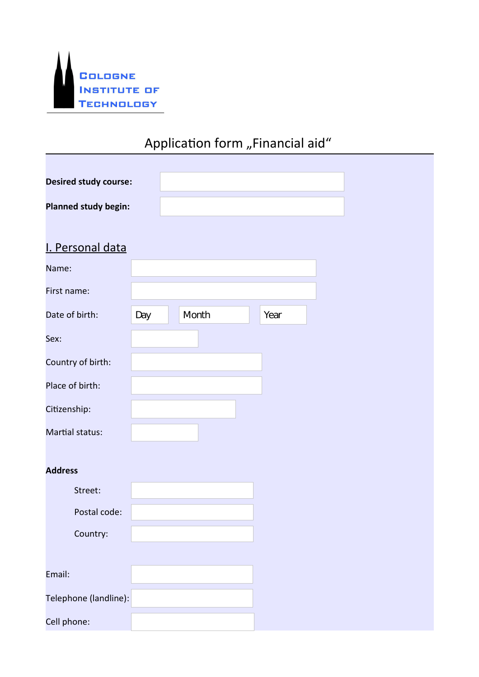

# Application form "Financial aid"

| <b>Desired study course:</b> |                            |                      |                          |      |                             |
|------------------------------|----------------------------|----------------------|--------------------------|------|-----------------------------|
| <b>Planned study begin:</b>  |                            |                      |                          |      |                             |
|                              |                            |                      |                          |      |                             |
| I. Personal data             |                            |                      |                          |      |                             |
| Name:                        |                            |                      |                          |      |                             |
| First name:                  |                            |                      |                          |      |                             |
| Date of birth:               | Day $\boxed{\blacksquare}$ | Month                | $\overline{\phantom{a}}$ | Year | $\left  \mathbf{v} \right $ |
| Sex:                         |                            | $\boxed{\mathbf{r}}$ |                          |      |                             |
| Country of birth:            |                            |                      |                          |      |                             |
| Place of birth:              |                            |                      |                          |      |                             |
| Citizenship:                 |                            |                      |                          |      |                             |
| Martial status:              |                            | $\boxed{\mathbf{r}}$ |                          |      |                             |
|                              |                            |                      |                          |      |                             |
| <b>Address</b>               |                            |                      |                          |      |                             |
| Street:                      |                            |                      |                          |      |                             |
| Postal code:                 |                            |                      |                          |      |                             |
| Country:                     |                            |                      |                          |      |                             |
|                              |                            |                      |                          |      |                             |
| Email:                       |                            |                      |                          |      |                             |
| Telephone (landline):        |                            |                      |                          |      |                             |
| Cell phone:                  |                            |                      |                          |      |                             |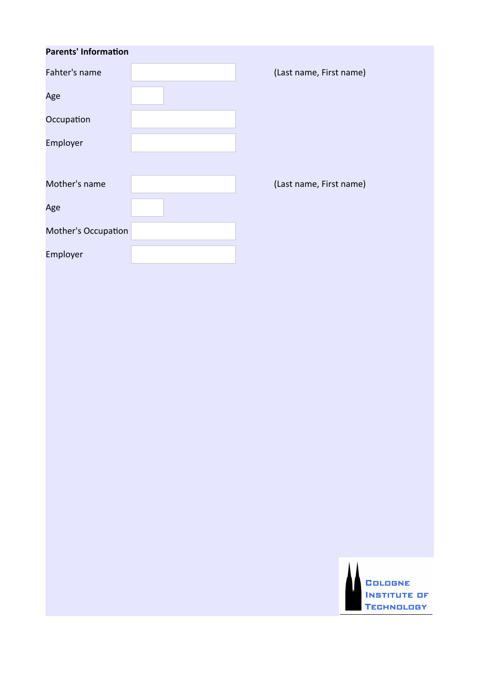| <b>Parents' Information</b> |                         |
|-----------------------------|-------------------------|
| Fahter's name               | (Last name, First name) |
| Age                         |                         |
| Occupation                  |                         |
| Employer                    |                         |
|                             |                         |
| Mother's name               | (Last name, First name) |
| Age                         |                         |
| <b>Mother's Occupation</b>  |                         |
| Employer                    |                         |
|                             |                         |

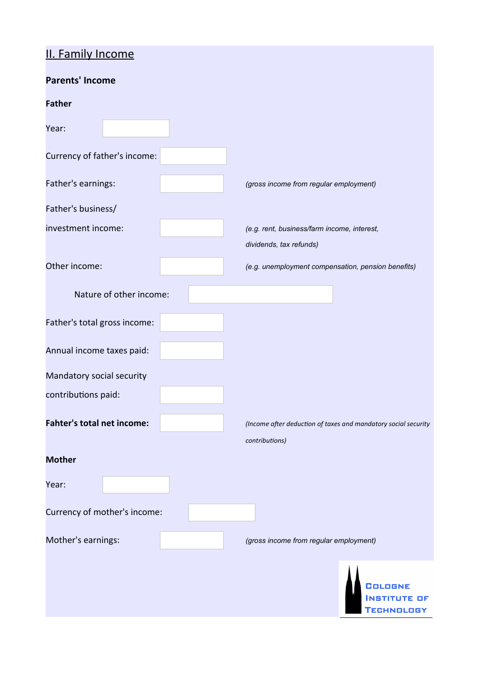# II. Family Income

| <u>II. I allilly Inconne</u> |                         |                                  |                                                                        |                                                                |
|------------------------------|-------------------------|----------------------------------|------------------------------------------------------------------------|----------------------------------------------------------------|
| <b>Parents' Income</b>       |                         |                                  |                                                                        |                                                                |
| <b>Father</b>                |                         |                                  |                                                                        |                                                                |
| Year:                        |                         | $\left  \mathbf{v} \right $      |                                                                        |                                                                |
| Currency of father's income: |                         | $\vert \blacktriangledown \vert$ |                                                                        |                                                                |
| Father's earnings:           |                         |                                  | (gross income from regular employment)                                 |                                                                |
| Father's business/           |                         |                                  |                                                                        |                                                                |
| investment income:           |                         |                                  | (e.g. rent, business/farm income, interest,<br>dividends, tax refunds) |                                                                |
| Other income:                |                         |                                  | (e.g. unemployment compensation, pension benefits)                     |                                                                |
|                              | Nature of other income: |                                  |                                                                        |                                                                |
| Father's total gross income: |                         |                                  |                                                                        |                                                                |
| Annual income taxes paid:    |                         |                                  |                                                                        |                                                                |
| Mandatory social security    |                         |                                  |                                                                        |                                                                |
| contributions paid:          |                         |                                  |                                                                        |                                                                |
| Fahter's total net income:   |                         |                                  | contributions)                                                         | (Income after deduction of taxes and mandatory social security |
| <b>Mother</b>                |                         |                                  |                                                                        |                                                                |
| Year:                        |                         | $\left  \bullet \right $         |                                                                        |                                                                |
| Currency of mother's income: |                         |                                  | $\vert \mathbf{v} \vert$                                               |                                                                |
| Mother's earnings:           |                         |                                  | (gross income from regular employment)                                 |                                                                |
|                              |                         |                                  |                                                                        | COLOGNE<br>INSTITUTE OF<br>CHNOLOGY                            |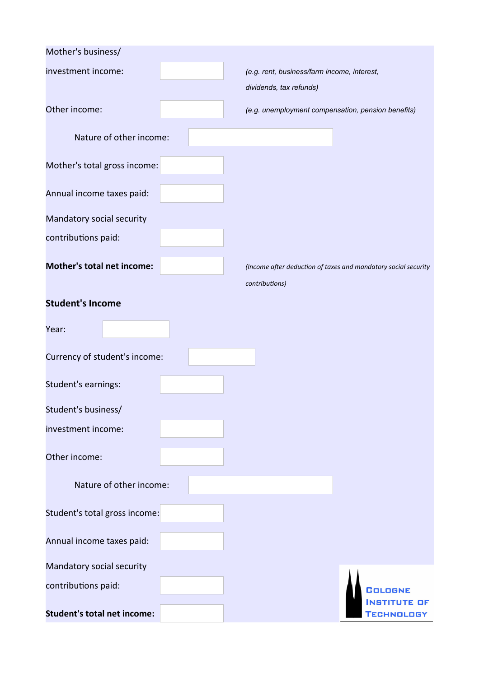| Mother's business/                 |                          |                                                                |
|------------------------------------|--------------------------|----------------------------------------------------------------|
| investment income:                 |                          | (e.g. rent, business/farm income, interest,                    |
|                                    |                          | dividends, tax refunds)                                        |
| Other income:                      |                          | (e.g. unemployment compensation, pension benefits)             |
| Nature of other income:            |                          |                                                                |
| Mother's total gross income:       |                          |                                                                |
| Annual income taxes paid:          |                          |                                                                |
| Mandatory social security          |                          |                                                                |
| contributions paid:                |                          |                                                                |
| <b>Mother's total net income:</b>  |                          | (Income after deduction of taxes and mandatory social security |
|                                    |                          | contributions)                                                 |
| <b>Student's Income</b>            |                          |                                                                |
| Year:                              | $\left  \bullet \right $ |                                                                |
| Currency of student's income:      |                          | $\left  \mathbf{v} \right $                                    |
| Student's earnings:                |                          |                                                                |
| Student's business/                |                          |                                                                |
| investment income:                 |                          |                                                                |
| Other income:                      |                          |                                                                |
| Nature of other income:            |                          |                                                                |
| Student's total gross income:      |                          |                                                                |
| Annual income taxes paid:          |                          |                                                                |
| Mandatory social security          |                          |                                                                |
| contributions paid:                |                          | COLOGNE                                                        |
| <b>Student's total net income:</b> |                          | OF<br>TECHNOLOGY                                               |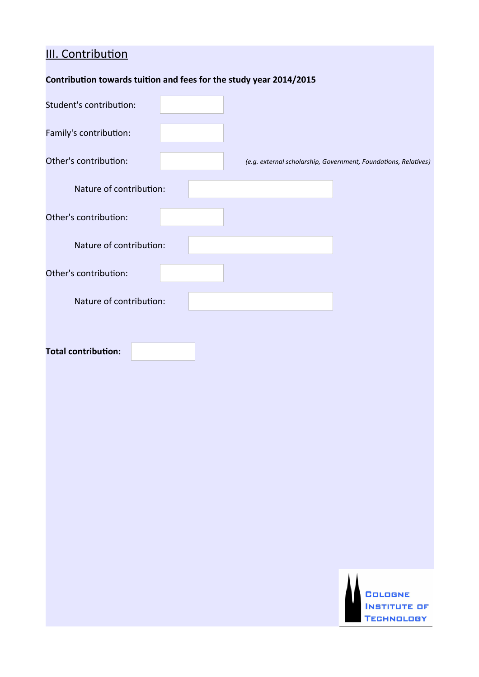# **III. Contribution**

| Contribution towards tuition and fees for the study year 2014/2015 |  |
|--------------------------------------------------------------------|--|
|--------------------------------------------------------------------|--|

| Student's contribution:    |                                                                 |
|----------------------------|-----------------------------------------------------------------|
| Family's contribution:     |                                                                 |
| Other's contribution:      | (e.g. external scholarship, Government, Foundations, Relatives) |
| Nature of contribution:    |                                                                 |
| Other's contribution:      |                                                                 |
| Nature of contribution:    |                                                                 |
| Other's contribution:      |                                                                 |
| Nature of contribution:    |                                                                 |
| <b>Total contribution:</b> |                                                                 |
|                            | COLOGNE<br><b>INSTITUTE OF</b><br><b>TECHNOLOGY</b>             |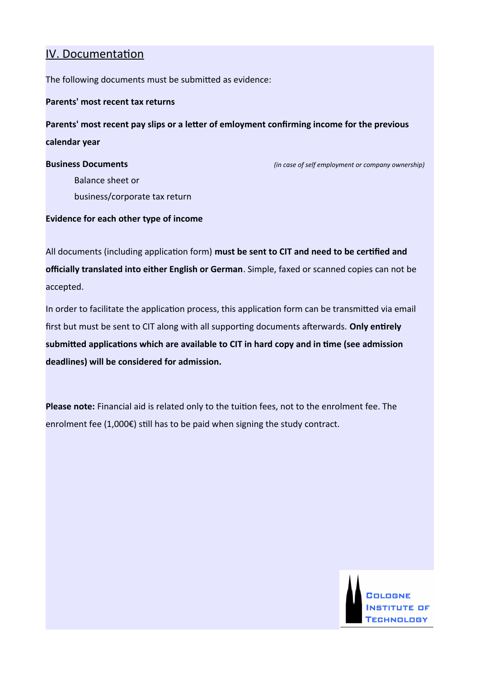## IV. Documentation

The following documents must be submited as evidence:

#### **Parents' most recent tax returns**

**Parents' most recent pay slips or a leter of emloyment confrming income for the previous calendar year**

**Business Documents** *(in case of self employment or company ownership)*

Balance sheet or business/corporate tax return

#### **Evidence for each other type of income**

All documents (including application form) must be sent to CIT and need to be certified and **officially translated into either English or German**. Simple, faxed or scanned copies can not be accepted.

In order to facilitate the application process, this application form can be transmitted via email first but must be sent to CIT along with all supporting documents afterwards. Only entirely **submited applicatons which are available to CIT in hard copy and in tme (see admission deadlines) will be considered for admission.**

**Please note:** Financial aid is related only to the tuiton fees, not to the enrolment fee. The enrolment fee (1,000€) still has to be paid when signing the study contract.